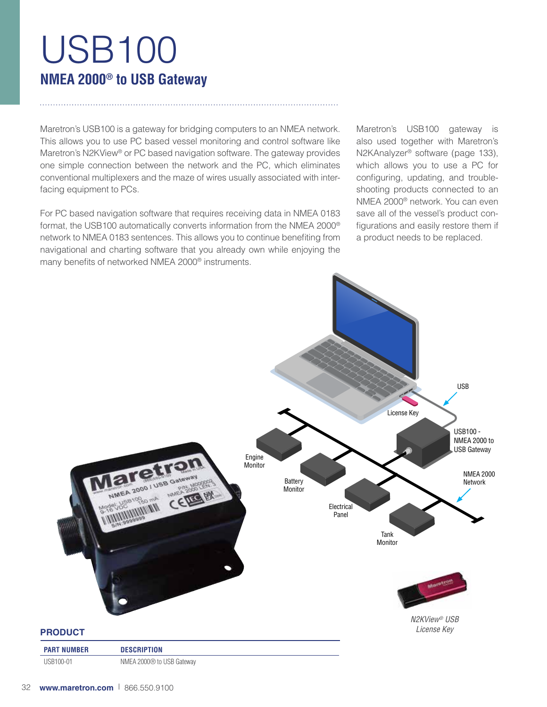# USB100 **NMEA 2000® to USB Gateway**

Maretron's USB100 is a gateway for bridging computers to an NMEA network. This allows you to use PC based vessel monitoring and control software like Maretron's N2KView® or PC based navigation software. The gateway provides one simple connection between the network and the PC, which eliminates conventional multiplexers and the maze of wires usually associated with interfacing equipment to PCs.

For PC based navigation software that requires receiving data in NMEA 0183 format, the USB100 automatically converts information from the NMEA 2000® network to NMEA 0183 sentences. This allows you to continue benefiting from navigational and charting software that you already own while enjoying the many benefits of networked NMEA 2000® instruments.

Maretron's USB100 gateway is also used together with Maretron's N2KAnalyzer® software (page 133), which allows you to use a PC for configuring, updating, and troubleshooting products connected to an NMEA 2000® network. You can even save all of the vessel's product configurations and easily restore them if a product needs to be replaced.